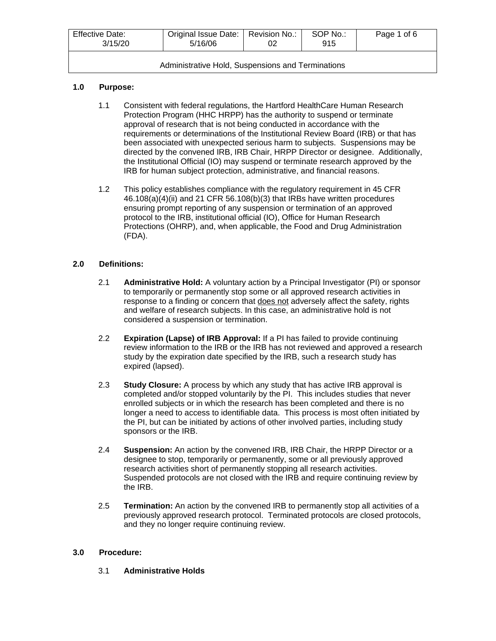| <b>Effective Date:</b><br>3/15/20                 | Original Issue Date:   Revision No.:<br>5/16/06 |  | SOP No.:<br>915 | Page 1 of 6 |
|---------------------------------------------------|-------------------------------------------------|--|-----------------|-------------|
| Administrative Hold, Suspensions and Terminations |                                                 |  |                 |             |

# **1.0 Purpose:**

- 1.1 Consistent with federal regulations, the Hartford HealthCare Human Research Protection Program (HHC HRPP) has the authority to suspend or terminate approval of research that is not being conducted in accordance with the requirements or determinations of the Institutional Review Board (IRB) or that has been associated with unexpected serious harm to subjects. Suspensions may be directed by the convened IRB, IRB Chair, HRPP Director or designee. Additionally, the Institutional Official (IO) may suspend or terminate research approved by the IRB for human subject protection, administrative, and financial reasons.
- 1.2 This policy establishes compliance with the regulatory requirement in 45 CFR 46.108(a)(4)(ii) and 21 CFR 56.108(b)(3) that IRBs have written procedures ensuring prompt reporting of any suspension or termination of an approved protocol to the IRB, institutional official (IO), Office for Human Research Protections (OHRP), and, when applicable, the Food and Drug Administration (FDA).

## **2.0 Definitions:**

- 2.1 **Administrative Hold:** A voluntary action by a Principal Investigator (PI) or sponsor to temporarily or permanently stop some or all approved research activities in response to a finding or concern that does not adversely affect the safety, rights and welfare of research subjects. In this case, an administrative hold is not considered a suspension or termination.
- 2.2 **Expiration (Lapse) of IRB Approval:** If a PI has failed to provide continuing review information to the IRB or the IRB has not reviewed and approved a research study by the expiration date specified by the IRB, such a research study has expired (lapsed).
- 2.3 **Study Closure:** A process by which any study that has active IRB approval is completed and/or stopped voluntarily by the PI. This includes studies that never enrolled subjects or in which the research has been completed and there is no longer a need to access to identifiable data. This process is most often initiated by the PI, but can be initiated by actions of other involved parties, including study sponsors or the IRB.
- 2.4 **Suspension:** An action by the convened IRB, IRB Chair, the HRPP Director or a designee to stop, temporarily or permanently, some or all previously approved research activities short of permanently stopping all research activities. Suspended protocols are not closed with the IRB and require continuing review by the IRB.
- 2.5 **Termination:** An action by the convened IRB to permanently stop all activities of a previously approved research protocol. Terminated protocols are closed protocols, and they no longer require continuing review.

#### **3.0 Procedure:**

3.1 **Administrative Holds**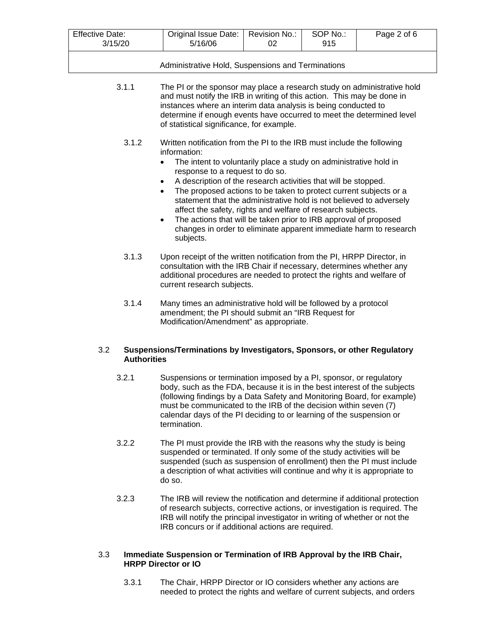| <b>Effective Date:</b><br>3/15/20                                                                                                                                                                                                                                                                                                                  | Original Issue Date:<br>5/16/06 | Revision No.:<br>02 | SOP No.:<br>915 | Page 2 of 6 |
|----------------------------------------------------------------------------------------------------------------------------------------------------------------------------------------------------------------------------------------------------------------------------------------------------------------------------------------------------|---------------------------------|---------------------|-----------------|-------------|
| Administrative Hold, Suspensions and Terminations                                                                                                                                                                                                                                                                                                  |                                 |                     |                 |             |
| The PI or the sponsor may place a research study on administrative hold<br>3.1.1<br>and must notify the IRB in writing of this action. This may be done in<br>instances where an interim data analysis is being conducted to<br>determine if enough events have occurred to meet the determined level<br>of statistical significance, for example. |                                 |                     |                 |             |

- 3.1.2 Written notification from the PI to the IRB must include the following information:
	- The intent to voluntarily place a study on administrative hold in response to a request to do so.
	- A description of the research activities that will be stopped.
	- The proposed actions to be taken to protect current subjects or a statement that the administrative hold is not believed to adversely affect the safety, rights and welfare of research subjects.
	- The actions that will be taken prior to IRB approval of proposed changes in order to eliminate apparent immediate harm to research subjects.
- 3.1.3 Upon receipt of the written notification from the PI, HRPP Director, in consultation with the IRB Chair if necessary, determines whether any additional procedures are needed to protect the rights and welfare of current research subjects.
- 3.1.4 Many times an administrative hold will be followed by a protocol amendment; the PI should submit an "IRB Request for Modification/Amendment" as appropriate.

# 3.2 **Suspensions/Terminations by Investigators, Sponsors, or other Regulatory Authorities**

- 3.2.1 Suspensions or termination imposed by a PI, sponsor, or regulatory body, such as the FDA, because it is in the best interest of the subjects (following findings by a Data Safety and Monitoring Board, for example) must be communicated to the IRB of the decision within seven (7) calendar days of the PI deciding to or learning of the suspension or termination.
- 3.2.2 The PI must provide the IRB with the reasons why the study is being suspended or terminated. If only some of the study activities will be suspended (such as suspension of enrollment) then the PI must include a description of what activities will continue and why it is appropriate to do so.
- 3.2.3 The IRB will review the notification and determine if additional protection of research subjects, corrective actions, or investigation is required. The IRB will notify the principal investigator in writing of whether or not the IRB concurs or if additional actions are required.

# 3.3 **Immediate Suspension or Termination of IRB Approval by the IRB Chair, HRPP Director or IO**

3.3.1 The Chair, HRPP Director or IO considers whether any actions are needed to protect the rights and welfare of current subjects, and orders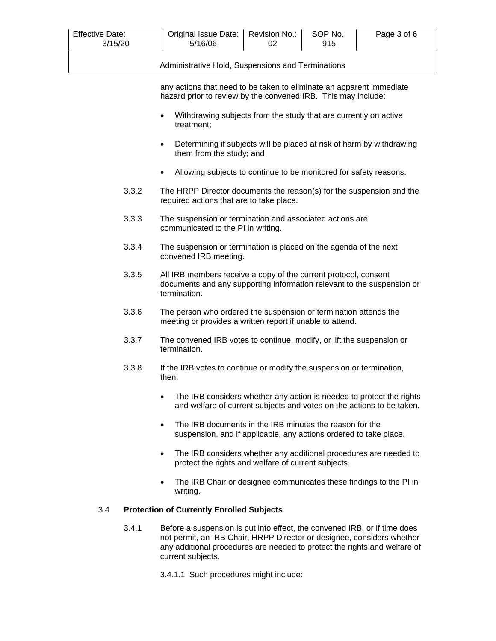| <b>Effective Date:</b><br>3/15/20 | Original Issue Date:   Revision No.:<br>5/16/06 | SOP No.:<br>915 | Page 3 of 6 |
|-----------------------------------|-------------------------------------------------|-----------------|-------------|
|                                   |                                                 |                 |             |

Administrative Hold, Suspensions and Terminations

any actions that need to be taken to eliminate an apparent immediate hazard prior to review by the convened IRB. This may include:

- Withdrawing subjects from the study that are currently on active treatment;
- Determining if subjects will be placed at risk of harm by withdrawing them from the study; and
- Allowing subjects to continue to be monitored for safety reasons.
- 3.3.2 The HRPP Director documents the reason(s) for the suspension and the required actions that are to take place.
- 3.3.3 The suspension or termination and associated actions are communicated to the PI in writing.
- 3.3.4 The suspension or termination is placed on the agenda of the next convened IRB meeting.
- 3.3.5 All IRB members receive a copy of the current protocol, consent documents and any supporting information relevant to the suspension or termination.
- 3.3.6 The person who ordered the suspension or termination attends the meeting or provides a written report if unable to attend.
- 3.3.7 The convened IRB votes to continue, modify, or lift the suspension or termination.
- 3.3.8 If the IRB votes to continue or modify the suspension or termination, then:
	- The IRB considers whether any action is needed to protect the rights and welfare of current subjects and votes on the actions to be taken.
	- The IRB documents in the IRB minutes the reason for the suspension, and if applicable, any actions ordered to take place.
	- The IRB considers whether any additional procedures are needed to protect the rights and welfare of current subjects.
	- The IRB Chair or designee communicates these findings to the PI in writing.

# 3.4 **Protection of Currently Enrolled Subjects**

- 3.4.1 Before a suspension is put into effect, the convened IRB, or if time does not permit, an IRB Chair, HRPP Director or designee, considers whether any additional procedures are needed to protect the rights and welfare of current subjects.
	- 3.4.1.1 Such procedures might include: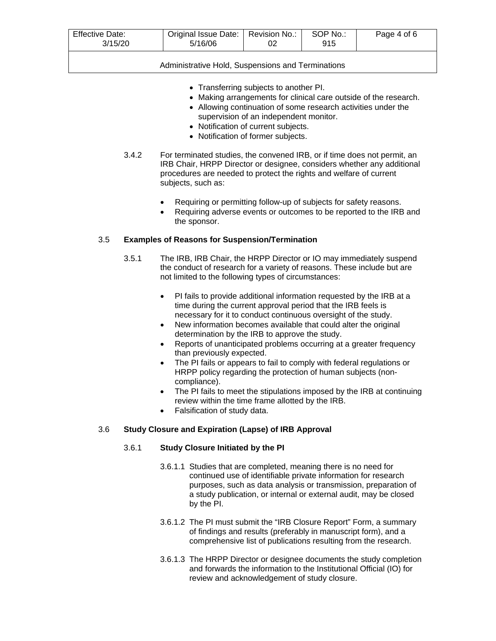| <b>Effective Date:</b><br>3/15/20 | Original Issue Date:<br>5/16/06 | Revision No.: | SOP No.:<br>915 | Page 4 of 6 |
|-----------------------------------|---------------------------------|---------------|-----------------|-------------|
|                                   |                                 |               |                 |             |

Administrative Hold, Suspensions and Terminations

- Transferring subjects to another PI.
- Making arrangements for clinical care outside of the research.
- Allowing continuation of some research activities under the supervision of an independent monitor.
- Notification of current subjects.
- Notification of former subjects.
- 3.4.2 For terminated studies, the convened IRB, or if time does not permit, an IRB Chair, HRPP Director or designee, considers whether any additional procedures are needed to protect the rights and welfare of current subjects, such as:
	- Requiring or permitting follow-up of subjects for safety reasons.
	- Requiring adverse events or outcomes to be reported to the IRB and the sponsor.

## 3.5 **Examples of Reasons for Suspension/Termination**

- 3.5.1 The IRB, IRB Chair, the HRPP Director or IO may immediately suspend the conduct of research for a variety of reasons. These include but are not limited to the following types of circumstances:
	- PI fails to provide additional information requested by the IRB at a time during the current approval period that the IRB feels is necessary for it to conduct continuous oversight of the study.
	- New information becomes available that could alter the original determination by the IRB to approve the study.
	- Reports of unanticipated problems occurring at a greater frequency than previously expected.
	- The PI fails or appears to fail to comply with federal regulations or HRPP policy regarding the protection of human subjects (noncompliance).
	- The PI fails to meet the stipulations imposed by the IRB at continuing review within the time frame allotted by the IRB.
	- Falsification of study data.

# 3.6 **Study Closure and Expiration (Lapse) of IRB Approval**

# 3.6.1 **Study Closure Initiated by the PI**

- 3.6.1.1 Studies that are completed, meaning there is no need for continued use of identifiable private information for research purposes, such as data analysis or transmission, preparation of a study publication, or internal or external audit, may be closed by the PI.
- 3.6.1.2 The PI must submit the "IRB Closure Report" Form, a summary of findings and results (preferably in manuscript form), and a comprehensive list of publications resulting from the research.
- 3.6.1.3 The HRPP Director or designee documents the study completion and forwards the information to the Institutional Official (IO) for review and acknowledgement of study closure.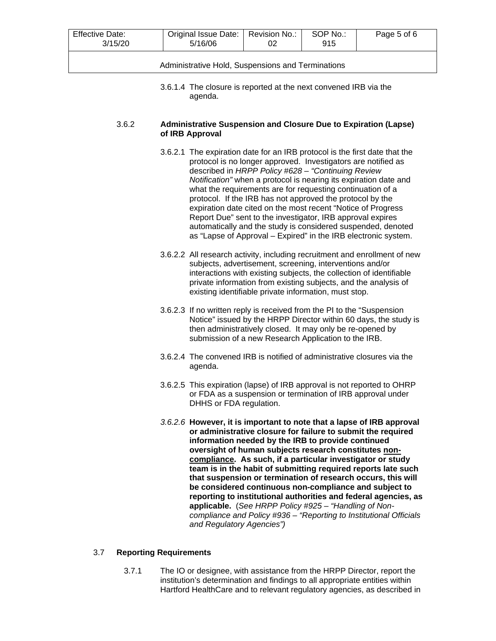| <b>Effective Date:</b><br>3/15/20                 | Original Issue Date:   Revision No.:<br>5/16/06 | 02 | SOP No.:<br>915 | Page 5 of 6 |
|---------------------------------------------------|-------------------------------------------------|----|-----------------|-------------|
| Administrative Hold, Suspensions and Terminations |                                                 |    |                 |             |

3.6.1.4 The closure is reported at the next convened IRB via the agenda.

#### 3.6.2 **Administrative Suspension and Closure Due to Expiration (Lapse) of IRB Approval**

- 3.6.2.1 The expiration date for an IRB protocol is the first date that the protocol is no longer approved. Investigators are notified as described in *HRPP Policy #628 – "Continuing Review Notification"* when a protocol is nearing its expiration date and what the requirements are for requesting continuation of a protocol. If the IRB has not approved the protocol by the expiration date cited on the most recent "Notice of Progress Report Due" sent to the investigator, IRB approval expires automatically and the study is considered suspended, denoted as "Lapse of Approval – Expired" in the IRB electronic system.
- 3.6.2.2 All research activity, including recruitment and enrollment of new subjects, advertisement, screening, interventions and/or interactions with existing subjects, the collection of identifiable private information from existing subjects, and the analysis of existing identifiable private information, must stop.
- 3.6.2.3 If no written reply is received from the PI to the "Suspension Notice" issued by the HRPP Director within 60 days, the study is then administratively closed. It may only be re-opened by submission of a new Research Application to the IRB.
- 3.6.2.4 The convened IRB is notified of administrative closures via the agenda.
- 3.6.2.5 This expiration (lapse) of IRB approval is not reported to OHRP or FDA as a suspension or termination of IRB approval under DHHS or FDA regulation.
- *3.6.2.6* **However, it is important to note that a lapse of IRB approval or administrative closure for failure to submit the required information needed by the IRB to provide continued oversight of human subjects research constitutes noncompliance. As such, if a particular investigator or study team is in the habit of submitting required reports late such that suspension or termination of research occurs, this will be considered continuous non-compliance and subject to reporting to institutional authorities and federal agencies, as applicable.** (*See HRPP Policy #925 – "Handling of Noncompliance and Policy #936 – "Reporting to Institutional Officials and Regulatory Agencies")*

#### 3.7 **Reporting Requirements**

3.7.1 The IO or designee, with assistance from the HRPP Director, report the institution's determination and findings to all appropriate entities within Hartford HealthCare and to relevant regulatory agencies, as described in